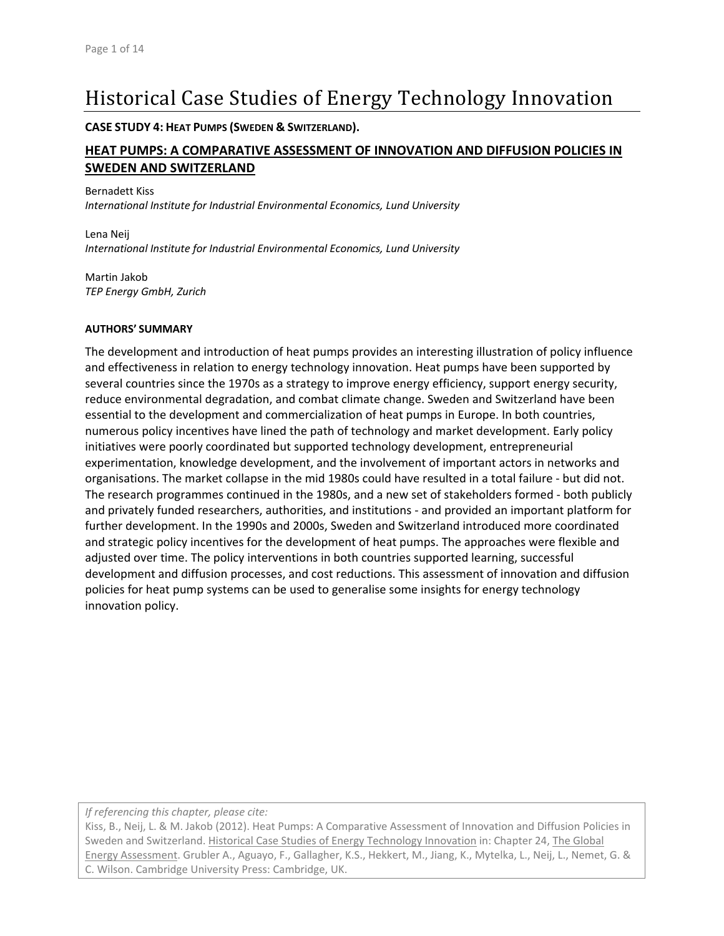# Historical Case Studies of Energy Technology Innovation

**CASE STUDY 4: HEAT PUMPS (SWEDEN & SWITZERLAND).**

## **HEAT PUMPS: A COMPARATIVE ASSESSMENT OF INNOVATION AND DIFFUSION POLICIES IN SWEDEN AND SWITZERLAND**

Bernadett Kiss *International Institute for Industrial Environmental Economics, Lund University*

Lena Neij *International Institute for Industrial Environmental Economics, Lund University*

Martin Jakob *TEP Energy GmbH, Zurich*

#### **AUTHORS' SUMMARY**

The development and introduction of heat pumps provides an interesting illustration of policy influence and effectiveness in relation to energy technology innovation. Heat pumps have been supported by several countries since the 1970s as a strategy to improve energy efficiency, support energy security, reduce environmental degradation, and combat climate change. Sweden and Switzerland have been essential to the development and commercialization of heat pumps in Europe. In both countries, numerous policy incentives have lined the path of technology and market development. Early policy initiatives were poorly coordinated but supported technology development, entrepreneurial experimentation, knowledge development, and the involvement of important actors in networks and organisations. The market collapse in the mid 1980s could have resulted in a total failure ‐ but did not. The research programmes continued in the 1980s, and a new set of stakeholders formed ‐ both publicly and privately funded researchers, authorities, and institutions ‐ and provided an important platform for further development. In the 1990s and 2000s, Sweden and Switzerland introduced more coordinated and strategic policy incentives for the development of heat pumps. The approaches were flexible and adjusted over time. The policy interventions in both countries supported learning, successful development and diffusion processes, and cost reductions. This assessment of innovation and diffusion policies for heat pump systems can be used to generalise some insights for energy technology innovation policy.

*If referencing this chapter, please cite:*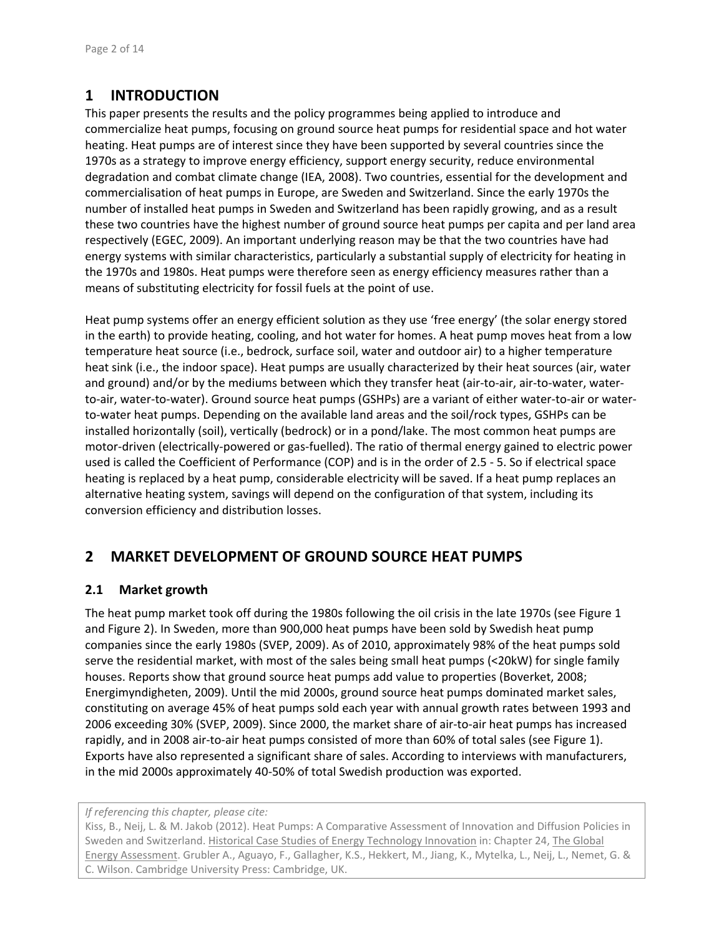# **1 INTRODUCTION**

This paper presents the results and the policy programmes being applied to introduce and commercialize heat pumps, focusing on ground source heat pumps for residential space and hot water heating. Heat pumps are of interest since they have been supported by several countries since the 1970s as a strategy to improve energy efficiency, support energy security, reduce environmental degradation and combat climate change (IEA, 2008). Two countries, essential for the development and commercialisation of heat pumps in Europe, are Sweden and Switzerland. Since the early 1970s the number of installed heat pumps in Sweden and Switzerland has been rapidly growing, and as a result these two countries have the highest number of ground source heat pumps per capita and per land area respectively (EGEC, 2009). An important underlying reason may be that the two countries have had energy systems with similar characteristics, particularly a substantial supply of electricity for heating in the 1970s and 1980s. Heat pumps were therefore seen as energy efficiency measures rather than a means of substituting electricity for fossil fuels at the point of use.

Heat pump systems offer an energy efficient solution as they use 'free energy' (the solar energy stored in the earth) to provide heating, cooling, and hot water for homes. A heat pump moves heat from a low temperature heat source (i.e., bedrock, surface soil, water and outdoor air) to a higher temperature heat sink (i.e., the indoor space). Heat pumps are usually characterized by their heat sources (air, water and ground) and/or by the mediums between which they transfer heat (air-to-air, air-to-water, waterto-air, water-to-water). Ground source heat pumps (GSHPs) are a variant of either water-to-air or waterto-water heat pumps. Depending on the available land areas and the soil/rock types, GSHPs can be installed horizontally (soil), vertically (bedrock) or in a pond/lake. The most common heat pumps are motor‐driven (electrically‐powered or gas‐fuelled). The ratio of thermal energy gained to electric power used is called the Coefficient of Performance (COP) and is in the order of 2.5 ‐ 5. So if electrical space heating is replaced by a heat pump, considerable electricity will be saved. If a heat pump replaces an alternative heating system, savings will depend on the configuration of that system, including its conversion efficiency and distribution losses.

# **2 MARKET DEVELOPMENT OF GROUND SOURCE HEAT PUMPS**

#### **2.1 Market growth**

The heat pump market took off during the 1980s following the oil crisis in the late 1970s (see Figure 1 and Figure 2). In Sweden, more than 900,000 heat pumps have been sold by Swedish heat pump companies since the early 1980s (SVEP, 2009). As of 2010, approximately 98% of the heat pumps sold serve the residential market, with most of the sales being small heat pumps (<20kW) for single family houses. Reports show that ground source heat pumps add value to properties (Boverket, 2008; Energimyndigheten, 2009). Until the mid 2000s, ground source heat pumps dominated market sales, constituting on average 45% of heat pumps sold each year with annual growth rates between 1993 and 2006 exceeding 30% (SVEP, 2009). Since 2000, the market share of air‐to‐air heat pumps has increased rapidly, and in 2008 air-to-air heat pumps consisted of more than 60% of total sales (see Figure 1). Exports have also represented a significant share of sales. According to interviews with manufacturers, in the mid 2000s approximately 40‐50% of total Swedish production was exported.

*If referencing this chapter, please cite:*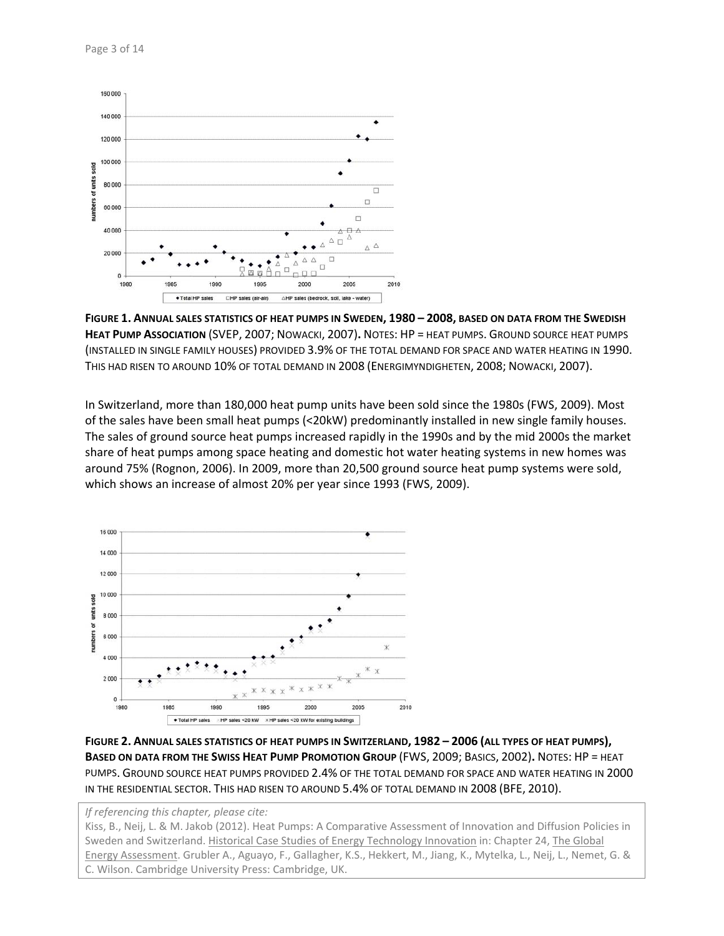

FIGURE 1. ANNUAL SALES STATISTICS OF HEAT PUMPS IN SWEDEN, 1980 - 2008, BASED ON DATA FROM THE SWEDISH **HEAT PUMP ASSOCIATION** (SVEP, 2007; NOWACKI, 2007)**.** NOTES: HP = HEAT PUMPS. GROUND SOURCE HEAT PUMPS (INSTALLED IN SINGLE FAMILY HOUSES) PROVIDED 3.9% OF THE TOTAL DEMAND FOR SPACE AND WATER HEATING IN 1990. THIS HAD RISEN TO AROUND 10% OF TOTAL DEMAND IN 2008 (ENERGIMYNDIGHETEN, 2008; NOWACKI, 2007).

In Switzerland, more than 180,000 heat pump units have been sold since the 1980s (FWS, 2009). Most of the sales have been small heat pumps (<20kW) predominantly installed in new single family houses. The sales of ground source heat pumps increased rapidly in the 1990s and by the mid 2000s the market share of heat pumps among space heating and domestic hot water heating systems in new homes was around 75% (Rognon, 2006). In 2009, more than 20,500 ground source heat pump systems were sold, which shows an increase of almost 20% per year since 1993 (FWS, 2009).



FIGURE 2. ANNUAL SALES STATISTICS OF HEAT PUMPS IN SWITZERLAND, 1982 - 2006 (ALL TYPES OF HEAT PUMPS), **BASED ON DATA FROM THE SWISS HEAT PUMP PROMOTION GROUP** (FWS, 2009; BASICS, 2002)**.** NOTES: HP = HEAT PUMPS. GROUND SOURCE HEAT PUMPS PROVIDED 2.4% OF THE TOTAL DEMAND FOR SPACE AND WATER HEATING IN 2000 IN THE RESIDENTIAL SECTOR. THIS HAD RISEN TO AROUND 5.4% OF TOTAL DEMAND IN 2008 (BFE, 2010).

*If referencing this chapter, please cite:*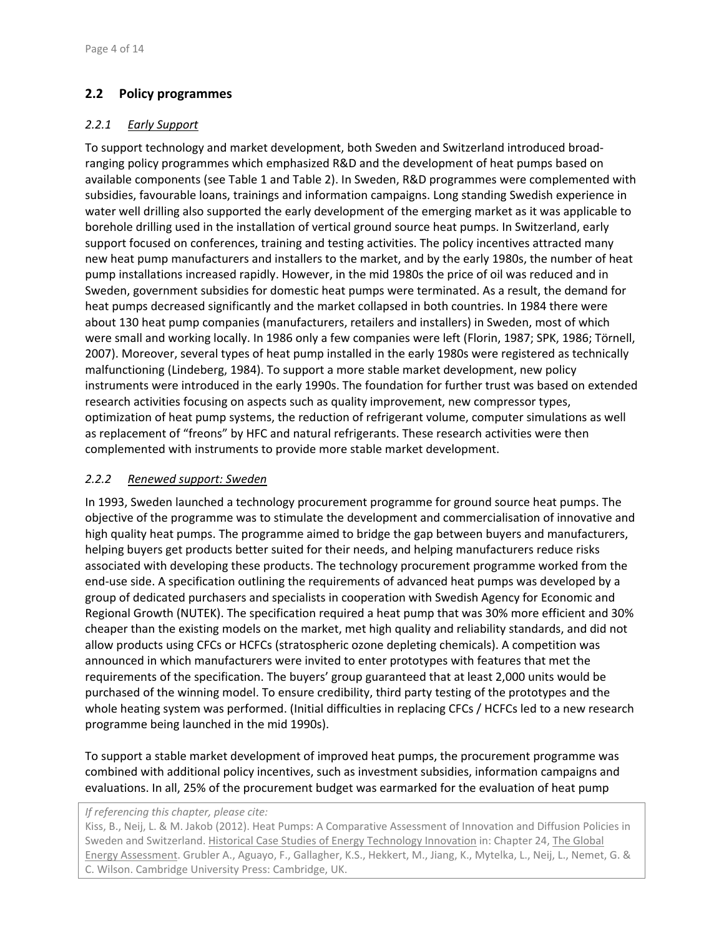## **2.2 Policy programmes**

#### *2.2.1 Early Support*

To support technology and market development, both Sweden and Switzerland introduced broad‐ ranging policy programmes which emphasized R&D and the development of heat pumps based on available components (see Table 1 and Table 2). In Sweden, R&D programmes were complemented with subsidies, favourable loans, trainings and information campaigns. Long standing Swedish experience in water well drilling also supported the early development of the emerging market as it was applicable to borehole drilling used in the installation of vertical ground source heat pumps. In Switzerland, early support focused on conferences, training and testing activities. The policy incentives attracted many new heat pump manufacturers and installers to the market, and by the early 1980s, the number of heat pump installations increased rapidly. However, in the mid 1980s the price of oil was reduced and in Sweden, government subsidies for domestic heat pumps were terminated. As a result, the demand for heat pumps decreased significantly and the market collapsed in both countries. In 1984 there were about 130 heat pump companies (manufacturers, retailers and installers) in Sweden, most of which were small and working locally. In 1986 only a few companies were left (Florin, 1987; SPK, 1986; Törnell, 2007). Moreover, several types of heat pump installed in the early 1980s were registered as technically malfunctioning (Lindeberg, 1984). To support a more stable market development, new policy instruments were introduced in the early 1990s. The foundation for further trust was based on extended research activities focusing on aspects such as quality improvement, new compressor types, optimization of heat pump systems, the reduction of refrigerant volume, computer simulations as well as replacement of "freons" by HFC and natural refrigerants. These research activities were then complemented with instruments to provide more stable market development.

#### *2.2.2 Renewed support: Sweden*

In 1993, Sweden launched a technology procurement programme for ground source heat pumps. The objective of the programme was to stimulate the development and commercialisation of innovative and high quality heat pumps. The programme aimed to bridge the gap between buyers and manufacturers, helping buyers get products better suited for their needs, and helping manufacturers reduce risks associated with developing these products. The technology procurement programme worked from the end‐use side. A specification outlining the requirements of advanced heat pumps was developed by a group of dedicated purchasers and specialists in cooperation with Swedish Agency for Economic and Regional Growth (NUTEK). The specification required a heat pump that was 30% more efficient and 30% cheaper than the existing models on the market, met high quality and reliability standards, and did not allow products using CFCs or HCFCs (stratospheric ozone depleting chemicals). A competition was announced in which manufacturers were invited to enter prototypes with features that met the requirements of the specification. The buyers' group guaranteed that at least 2,000 units would be purchased of the winning model. To ensure credibility, third party testing of the prototypes and the whole heating system was performed. (Initial difficulties in replacing CFCs / HCFCs led to a new research programme being launched in the mid 1990s).

To support a stable market development of improved heat pumps, the procurement programme was combined with additional policy incentives, such as investment subsidies, information campaigns and evaluations. In all, 25% of the procurement budget was earmarked for the evaluation of heat pump

*If referencing this chapter, please cite:*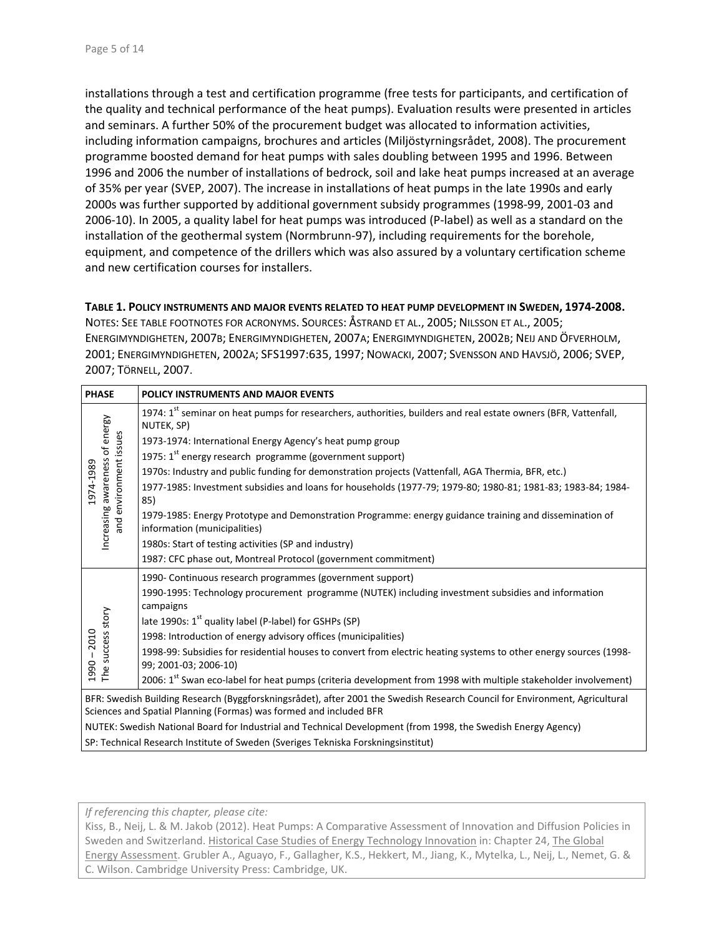installations through a test and certification programme (free tests for participants, and certification of the quality and technical performance of the heat pumps). Evaluation results were presented in articles and seminars. A further 50% of the procurement budget was allocated to information activities, including information campaigns, brochures and articles (Miljöstyrningsrådet, 2008). The procurement programme boosted demand for heat pumps with sales doubling between 1995 and 1996. Between 1996 and 2006 the number of installations of bedrock, soil and lake heat pumps increased at an average of 35% per year (SVEP, 2007). The increase in installations of heat pumps in the late 1990s and early 2000s was further supported by additional government subsidy programmes (1998‐99, 2001‐03 and 2006‐10). In 2005, a quality label for heat pumps was introduced (P‐label) as well as a standard on the installation of the geothermal system (Normbrunn‐97), including requirements for the borehole, equipment, and competence of the drillers which was also assured by a voluntary certification scheme and new certification courses for installers.

#### **TABLE 1. POLICY INSTRUMENTS AND MAJOR EVENTS RELATED TO HEAT PUMP DEVELOPMENT IN SWEDEN, 1974‐2008.**

NOTES: SEE TABLE FOOTNOTES FOR ACRONYMS. SOURCES: ÅSTRAND ET AL., 2005; NILSSON ET AL., 2005; ENERGIMYNDIGHETEN, 2007B; ENERGIMYNDIGHETEN, 2007A; ENERGIMYNDIGHETEN, 2002B; NEIJ AND ÖFVERHOLM, 2001; ENERGIMYNDIGHETEN, 2002A; SFS1997:635, 1997; NOWACKI, 2007; SVENSSON AND HAVSJÖ, 2006; SVEP, 2007; TÖRNELL, 2007.

| <b>PHASE</b>                                                                                                                                                                                      | POLICY INSTRUMENTS AND MAJOR EVENTS                                                                                                        |  |  |
|---------------------------------------------------------------------------------------------------------------------------------------------------------------------------------------------------|--------------------------------------------------------------------------------------------------------------------------------------------|--|--|
| Increasing awareness of energy<br>and environment issues<br>1974-1989                                                                                                                             | 1974: 1st seminar on heat pumps for researchers, authorities, builders and real estate owners (BFR, Vattenfall,<br>NUTEK, SP)              |  |  |
|                                                                                                                                                                                                   | 1973-1974: International Energy Agency's heat pump group                                                                                   |  |  |
|                                                                                                                                                                                                   | 1975: $1st$ energy research programme (government support)                                                                                 |  |  |
|                                                                                                                                                                                                   | 1970s: Industry and public funding for demonstration projects (Vattenfall, AGA Thermia, BFR, etc.)                                         |  |  |
|                                                                                                                                                                                                   | 1977-1985: Investment subsidies and loans for households (1977-79; 1979-80; 1980-81; 1981-83; 1983-84; 1984-<br>85)                        |  |  |
|                                                                                                                                                                                                   | 1979-1985: Energy Prototype and Demonstration Programme: energy guidance training and dissemination of<br>information (municipalities)     |  |  |
|                                                                                                                                                                                                   | 1980s: Start of testing activities (SP and industry)                                                                                       |  |  |
|                                                                                                                                                                                                   | 1987: CFC phase out, Montreal Protocol (government commitment)                                                                             |  |  |
|                                                                                                                                                                                                   | 1990- Continuous research programmes (government support)                                                                                  |  |  |
| The success story<br>1990 - 2010                                                                                                                                                                  | 1990-1995: Technology procurement programme (NUTEK) including investment subsidies and information<br>campaigns                            |  |  |
|                                                                                                                                                                                                   | late 1990s: 1 <sup>st</sup> quality label (P-label) for GSHPs (SP)                                                                         |  |  |
|                                                                                                                                                                                                   | 1998: Introduction of energy advisory offices (municipalities)                                                                             |  |  |
|                                                                                                                                                                                                   | 1998-99: Subsidies for residential houses to convert from electric heating systems to other energy sources (1998-<br>99; 2001-03; 2006-10) |  |  |
|                                                                                                                                                                                                   | 2006: 1st Swan eco-label for heat pumps (criteria development from 1998 with multiple stakeholder involvement)                             |  |  |
| BFR: Swedish Building Research (Byggforskningsrådet), after 2001 the Swedish Research Council for Environment, Agricultural<br>Sciences and Spatial Planning (Formas) was formed and included BFR |                                                                                                                                            |  |  |
| NUTEK: Swedish National Board for Industrial and Technical Development (from 1998, the Swedish Energy Agency)                                                                                     |                                                                                                                                            |  |  |
| SP: Technical Research Institute of Sweden (Sveriges Tekniska Forskningsinstitut)                                                                                                                 |                                                                                                                                            |  |  |

*If referencing this chapter, please cite:*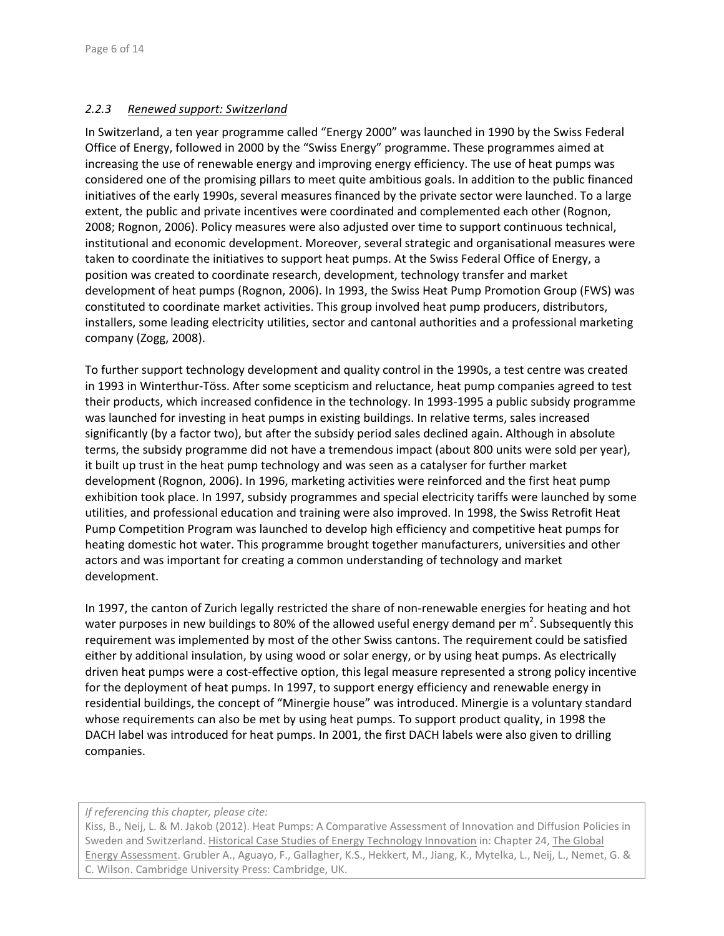#### *2.2.3 Renewed support: Switzerland*

In Switzerland, a ten year programme called "Energy 2000" was launched in 1990 by the Swiss Federal Office of Energy, followed in 2000 by the "Swiss Energy" programme. These programmes aimed at increasing the use of renewable energy and improving energy efficiency. The use of heat pumps was considered one of the promising pillars to meet quite ambitious goals. In addition to the public financed initiatives of the early 1990s, several measures financed by the private sector were launched. To a large extent, the public and private incentives were coordinated and complemented each other (Rognon, 2008; Rognon, 2006). Policy measures were also adjusted over time to support continuous technical, institutional and economic development. Moreover, several strategic and organisational measures were taken to coordinate the initiatives to support heat pumps. At the Swiss Federal Office of Energy, a position was created to coordinate research, development, technology transfer and market development of heat pumps (Rognon, 2006). In 1993, the Swiss Heat Pump Promotion Group (FWS) was constituted to coordinate market activities. This group involved heat pump producers, distributors, installers, some leading electricity utilities, sector and cantonal authorities and a professional marketing company (Zogg, 2008).

To further support technology development and quality control in the 1990s, a test centre was created in 1993 in Winterthur‐Töss. After some scepticism and reluctance, heat pump companies agreed to test their products, which increased confidence in the technology. In 1993‐1995 a public subsidy programme was launched for investing in heat pumps in existing buildings. In relative terms, sales increased significantly (by a factor two), but after the subsidy period sales declined again. Although in absolute terms, the subsidy programme did not have a tremendous impact (about 800 units were sold per year), it built up trust in the heat pump technology and was seen as a catalyser for further market development (Rognon, 2006). In 1996, marketing activities were reinforced and the first heat pump exhibition took place. In 1997, subsidy programmes and special electricity tariffs were launched by some utilities, and professional education and training were also improved. In 1998, the Swiss Retrofit Heat Pump Competition Program was launched to develop high efficiency and competitive heat pumps for heating domestic hot water. This programme brought together manufacturers, universities and other actors and was important for creating a common understanding of technology and market development.

In 1997, the canton of Zurich legally restricted the share of non-renewable energies for heating and hot water purposes in new buildings to 80% of the allowed useful energy demand per m<sup>2</sup>. Subsequently this requirement was implemented by most of the other Swiss cantons. The requirement could be satisfied either by additional insulation, by using wood or solar energy, or by using heat pumps. As electrically driven heat pumps were a cost‐effective option, this legal measure represented a strong policy incentive for the deployment of heat pumps. In 1997, to support energy efficiency and renewable energy in residential buildings, the concept of "Minergie house" was introduced. Minergie is a voluntary standard whose requirements can also be met by using heat pumps. To support product quality, in 1998 the DACH label was introduced for heat pumps. In 2001, the first DACH labels were also given to drilling companies.

*If referencing this chapter, please cite:*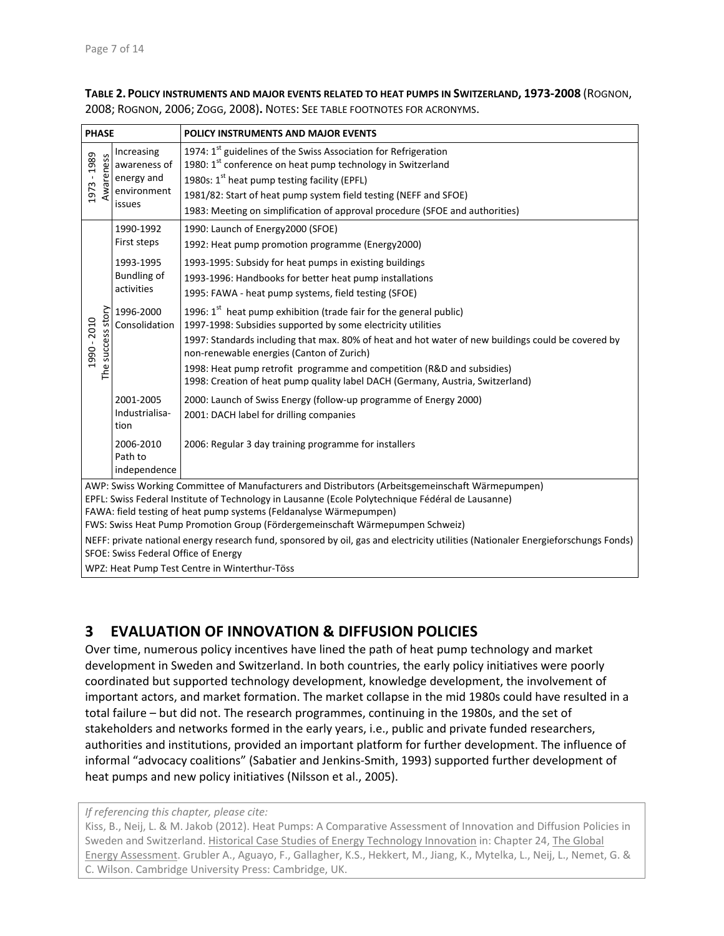**TABLE 2.POLICY INSTRUMENTS AND MAJOR EVENTS RELATED TO HEAT PUMPS IN SWITZERLAND, 1973‐2008** (ROGNON, 2008; ROGNON, 2006; ZOGG, 2008)**.** NOTES: SEE TABLE FOOTNOTES FOR ACRONYMS.

| <b>PHASE</b>                                                                                                                                                                                                                                                                                                                                                 |                                                                                                                                                                           | POLICY INSTRUMENTS AND MAJOR EVENTS                                                                                                                                                                                                                                                                                                                                                                                                               |  |  |
|--------------------------------------------------------------------------------------------------------------------------------------------------------------------------------------------------------------------------------------------------------------------------------------------------------------------------------------------------------------|---------------------------------------------------------------------------------------------------------------------------------------------------------------------------|---------------------------------------------------------------------------------------------------------------------------------------------------------------------------------------------------------------------------------------------------------------------------------------------------------------------------------------------------------------------------------------------------------------------------------------------------|--|--|
| 1973 - 1989<br>Awareness                                                                                                                                                                                                                                                                                                                                     | Increasing<br>awareness of<br>energy and<br>environment<br>issues                                                                                                         | 1974: 1 <sup>st</sup> guidelines of the Swiss Association for Refrigeration<br>1980: 1 <sup>st</sup> conference on heat pump technology in Switzerland<br>1980s: 1 <sup>st</sup> heat pump testing facility (EPFL)<br>1981/82: Start of heat pump system field testing (NEFF and SFOE)<br>1983: Meeting on simplification of approval procedure (SFOE and authorities)                                                                            |  |  |
|                                                                                                                                                                                                                                                                                                                                                              | 1990-1992<br>First steps                                                                                                                                                  | 1990: Launch of Energy2000 (SFOE)<br>1992: Heat pump promotion programme (Energy2000)                                                                                                                                                                                                                                                                                                                                                             |  |  |
| The success story<br>1990 - 2010                                                                                                                                                                                                                                                                                                                             | 1993-1995<br>Bundling of<br>activities                                                                                                                                    | 1993-1995: Subsidy for heat pumps in existing buildings<br>1993-1996: Handbooks for better heat pump installations<br>1995: FAWA - heat pump systems, field testing (SFOE)                                                                                                                                                                                                                                                                        |  |  |
|                                                                                                                                                                                                                                                                                                                                                              | 1996-2000<br>Consolidation                                                                                                                                                | 1996: 1st heat pump exhibition (trade fair for the general public)<br>1997-1998: Subsidies supported by some electricity utilities<br>1997: Standards including that max. 80% of heat and hot water of new buildings could be covered by<br>non-renewable energies (Canton of Zurich)<br>1998: Heat pump retrofit programme and competition (R&D and subsidies)<br>1998: Creation of heat pump quality label DACH (Germany, Austria, Switzerland) |  |  |
|                                                                                                                                                                                                                                                                                                                                                              | 2001-2005<br>Industrialisa-<br>tion                                                                                                                                       | 2000: Launch of Swiss Energy (follow-up programme of Energy 2000)<br>2001: DACH label for drilling companies                                                                                                                                                                                                                                                                                                                                      |  |  |
|                                                                                                                                                                                                                                                                                                                                                              | 2006-2010<br>Path to<br>independence                                                                                                                                      | 2006: Regular 3 day training programme for installers                                                                                                                                                                                                                                                                                                                                                                                             |  |  |
| AWP: Swiss Working Committee of Manufacturers and Distributors (Arbeitsgemeinschaft Wärmepumpen)<br>EPFL: Swiss Federal Institute of Technology in Lausanne (Ecole Polytechnique Fédéral de Lausanne)<br>FAWA: field testing of heat pump systems (Feldanalyse Wärmepumpen)<br>FWS: Swiss Heat Pump Promotion Group (Fördergemeinschaft Wärmepumpen Schweiz) |                                                                                                                                                                           |                                                                                                                                                                                                                                                                                                                                                                                                                                                   |  |  |
|                                                                                                                                                                                                                                                                                                                                                              | NEFF: private national energy research fund, sponsored by oil, gas and electricity utilities (Nationaler Energieforschungs Fonds)<br>SFOE: Swiss Federal Office of Energy |                                                                                                                                                                                                                                                                                                                                                                                                                                                   |  |  |
|                                                                                                                                                                                                                                                                                                                                                              | WPZ: Heat Pump Test Centre in Winterthur-Töss                                                                                                                             |                                                                                                                                                                                                                                                                                                                                                                                                                                                   |  |  |

# **3 EVALUATION OF INNOVATION & DIFFUSION POLICIES**

Over time, numerous policy incentives have lined the path of heat pump technology and market development in Sweden and Switzerland. In both countries, the early policy initiatives were poorly coordinated but supported technology development, knowledge development, the involvement of important actors, and market formation. The market collapse in the mid 1980s could have resulted in a total failure – but did not. The research programmes, continuing in the 1980s, and the set of stakeholders and networks formed in the early years, i.e., public and private funded researchers, authorities and institutions, provided an important platform for further development. The influence of informal "advocacy coalitions" (Sabatier and Jenkins‐Smith, 1993) supported further development of heat pumps and new policy initiatives (Nilsson et al., 2005).

*If referencing this chapter, please cite:*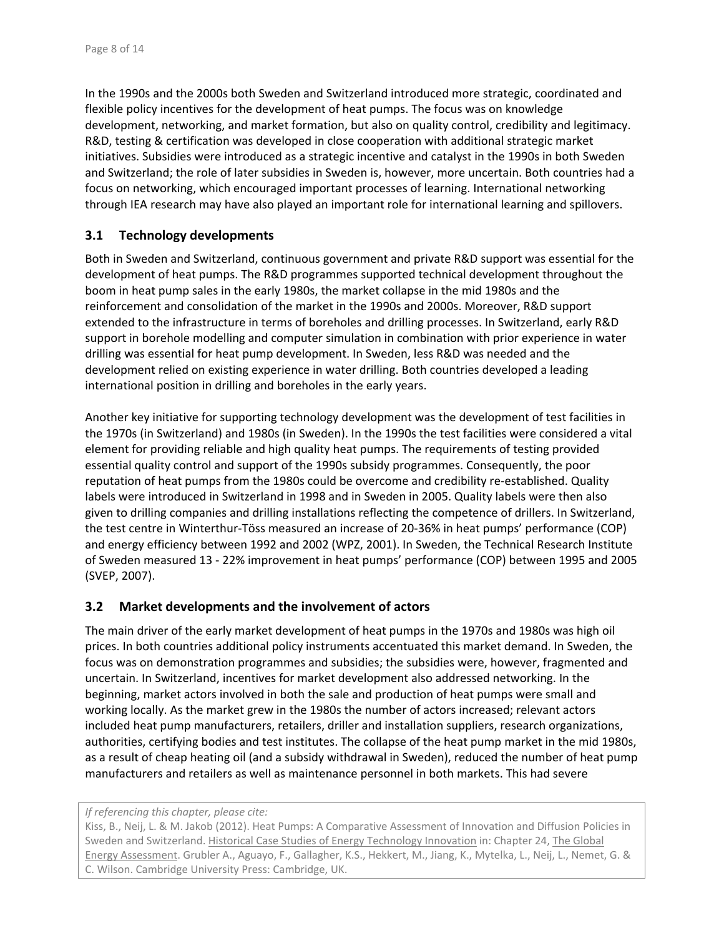In the 1990s and the 2000s both Sweden and Switzerland introduced more strategic, coordinated and flexible policy incentives for the development of heat pumps. The focus was on knowledge development, networking, and market formation, but also on quality control, credibility and legitimacy. R&D, testing & certification was developed in close cooperation with additional strategic market initiatives. Subsidies were introduced as a strategic incentive and catalyst in the 1990s in both Sweden and Switzerland; the role of later subsidies in Sweden is, however, more uncertain. Both countries had a focus on networking, which encouraged important processes of learning. International networking through IEA research may have also played an important role for international learning and spillovers.

### **3.1 Technology developments**

Both in Sweden and Switzerland, continuous government and private R&D support was essential for the development of heat pumps. The R&D programmes supported technical development throughout the boom in heat pump sales in the early 1980s, the market collapse in the mid 1980s and the reinforcement and consolidation of the market in the 1990s and 2000s. Moreover, R&D support extended to the infrastructure in terms of boreholes and drilling processes. In Switzerland, early R&D support in borehole modelling and computer simulation in combination with prior experience in water drilling was essential for heat pump development. In Sweden, less R&D was needed and the development relied on existing experience in water drilling. Both countries developed a leading international position in drilling and boreholes in the early years.

Another key initiative for supporting technology development was the development of test facilities in the 1970s (in Switzerland) and 1980s (in Sweden). In the 1990s the test facilities were considered a vital element for providing reliable and high quality heat pumps. The requirements of testing provided essential quality control and support of the 1990s subsidy programmes. Consequently, the poor reputation of heat pumps from the 1980s could be overcome and credibility re-established. Quality labels were introduced in Switzerland in 1998 and in Sweden in 2005. Quality labels were then also given to drilling companies and drilling installations reflecting the competence of drillers. In Switzerland, the test centre in Winterthur‐Töss measured an increase of 20‐36% in heat pumps' performance (COP) and energy efficiency between 1992 and 2002 (WPZ, 2001). In Sweden, the Technical Research Institute of Sweden measured 13 ‐ 22% improvement in heat pumps' performance (COP) between 1995 and 2005 (SVEP, 2007).

#### **3.2 Market developments and the involvement of actors**

The main driver of the early market development of heat pumps in the 1970s and 1980s was high oil prices. In both countries additional policy instruments accentuated this market demand. In Sweden, the focus was on demonstration programmes and subsidies; the subsidies were, however, fragmented and uncertain. In Switzerland, incentives for market development also addressed networking. In the beginning, market actors involved in both the sale and production of heat pumps were small and working locally. As the market grew in the 1980s the number of actors increased; relevant actors included heat pump manufacturers, retailers, driller and installation suppliers, research organizations, authorities, certifying bodies and test institutes. The collapse of the heat pump market in the mid 1980s, as a result of cheap heating oil (and a subsidy withdrawal in Sweden), reduced the number of heat pump manufacturers and retailers as well as maintenance personnel in both markets. This had severe

#### *If referencing this chapter, please cite:*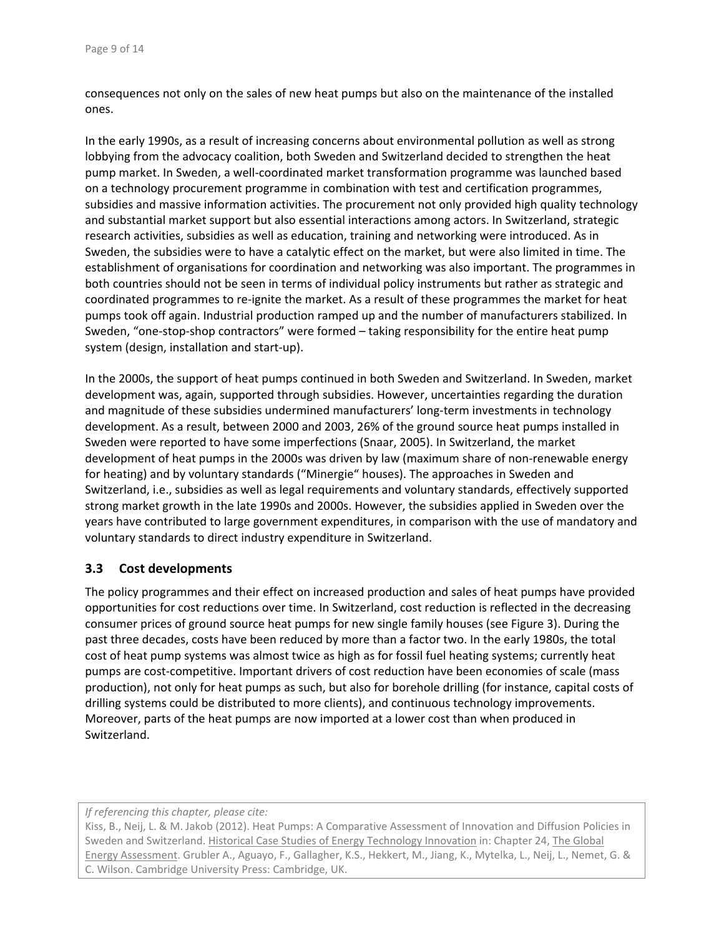consequences not only on the sales of new heat pumps but also on the maintenance of the installed ones.

In the early 1990s, as a result of increasing concerns about environmental pollution as well as strong lobbying from the advocacy coalition, both Sweden and Switzerland decided to strengthen the heat pump market. In Sweden, a well‐coordinated market transformation programme was launched based on a technology procurement programme in combination with test and certification programmes, subsidies and massive information activities. The procurement not only provided high quality technology and substantial market support but also essential interactions among actors. In Switzerland, strategic research activities, subsidies as well as education, training and networking were introduced. As in Sweden, the subsidies were to have a catalytic effect on the market, but were also limited in time. The establishment of organisations for coordination and networking was also important. The programmes in both countries should not be seen in terms of individual policy instruments but rather as strategic and coordinated programmes to re‐ignite the market. As a result of these programmes the market for heat pumps took off again. Industrial production ramped up and the number of manufacturers stabilized. In Sweden, "one-stop-shop contractors" were formed – taking responsibility for the entire heat pump system (design, installation and start‐up).

In the 2000s, the support of heat pumps continued in both Sweden and Switzerland. In Sweden, market development was, again, supported through subsidies. However, uncertainties regarding the duration and magnitude of these subsidies undermined manufacturers' long-term investments in technology development. As a result, between 2000 and 2003, 26% of the ground source heat pumps installed in Sweden were reported to have some imperfections (Snaar, 2005). In Switzerland, the market development of heat pumps in the 2000s was driven by law (maximum share of non‐renewable energy for heating) and by voluntary standards ("Minergie" houses). The approaches in Sweden and Switzerland, i.e., subsidies as well as legal requirements and voluntary standards, effectively supported strong market growth in the late 1990s and 2000s. However, the subsidies applied in Sweden over the years have contributed to large government expenditures, in comparison with the use of mandatory and voluntary standards to direct industry expenditure in Switzerland.

#### **3.3 Cost developments**

The policy programmes and their effect on increased production and sales of heat pumps have provided opportunities for cost reductions over time. In Switzerland, cost reduction is reflected in the decreasing consumer prices of ground source heat pumps for new single family houses (see Figure 3). During the past three decades, costs have been reduced by more than a factor two. In the early 1980s, the total cost of heat pump systems was almost twice as high as for fossil fuel heating systems; currently heat pumps are cost‐competitive. Important drivers of cost reduction have been economies of scale (mass production), not only for heat pumps as such, but also for borehole drilling (for instance, capital costs of drilling systems could be distributed to more clients), and continuous technology improvements. Moreover, parts of the heat pumps are now imported at a lower cost than when produced in Switzerland.

*If referencing this chapter, please cite:*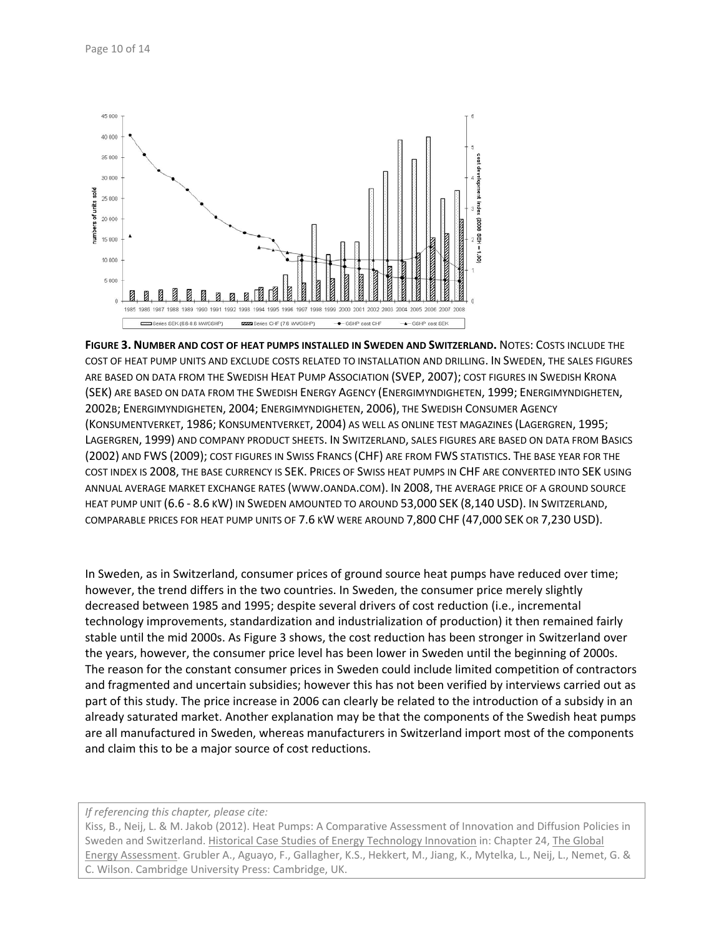

**FIGURE 3. NUMBER AND COST OF HEAT PUMPS INSTALLED IN SWEDEN AND SWITZERLAND.** NOTES: COSTS INCLUDE THE COST OF HEAT PUMP UNITS AND EXCLUDE COSTS RELATED TO INSTALLATION AND DRILLING. IN SWEDEN, THE SALES FIGURES ARE BASED ON DATA FROM THE SWEDISH HEAT PUMP ASSOCIATION (SVEP, 2007); COST FIGURES IN SWEDISH KRONA (SEK) ARE BASED ON DATA FROM THE SWEDISH ENERGY AGENCY (ENERGIMYNDIGHETEN, 1999; ENERGIMYNDIGHETEN, 2002B; ENERGIMYNDIGHETEN, 2004; ENERGIMYNDIGHETEN, 2006), THE SWEDISH CONSUMER AGENCY (KONSUMENTVERKET, 1986; KONSUMENTVERKET, 2004) AS WELL AS ONLINE TEST MAGAZINES (LAGERGREN, 1995; LAGERGREN, 1999) AND COMPANY PRODUCT SHEETS. IN SWITZERLAND, SALES FIGURES ARE BASED ON DATA FROM BASICS (2002) AND FWS (2009); COST FIGURES IN SWISS FRANCS (CHF) ARE FROM FWS STATISTICS. THE BASE YEAR FOR THE COST INDEX IS 2008, THE BASE CURRENCY IS SEK. PRICES OF SWISS HEAT PUMPS IN CHF ARE CONVERTED INTO SEK USING ANNUAL AVERAGE MARKET EXCHANGE RATES (WWW.OANDA.COM). IN 2008, THE AVERAGE PRICE OF A GROUND SOURCE HEAT PUMP UNIT (6.6 ‐ 8.6 KW) IN SWEDEN AMOUNTED TO AROUND 53,000 SEK (8,140 USD). IN SWITZERLAND, COMPARABLE PRICES FOR HEAT PUMP UNITS OF 7.6 KW WERE AROUND 7,800 CHF (47,000 SEK OR 7,230 USD).

In Sweden, as in Switzerland, consumer prices of ground source heat pumps have reduced over time; however, the trend differs in the two countries. In Sweden, the consumer price merely slightly decreased between 1985 and 1995; despite several drivers of cost reduction (i.e., incremental technology improvements, standardization and industrialization of production) it then remained fairly stable until the mid 2000s. As Figure 3 shows, the cost reduction has been stronger in Switzerland over the years, however, the consumer price level has been lower in Sweden until the beginning of 2000s. The reason for the constant consumer prices in Sweden could include limited competition of contractors and fragmented and uncertain subsidies; however this has not been verified by interviews carried out as part of this study. The price increase in 2006 can clearly be related to the introduction of a subsidy in an already saturated market. Another explanation may be that the components of the Swedish heat pumps are all manufactured in Sweden, whereas manufacturers in Switzerland import most of the components and claim this to be a major source of cost reductions.

*If referencing this chapter, please cite:*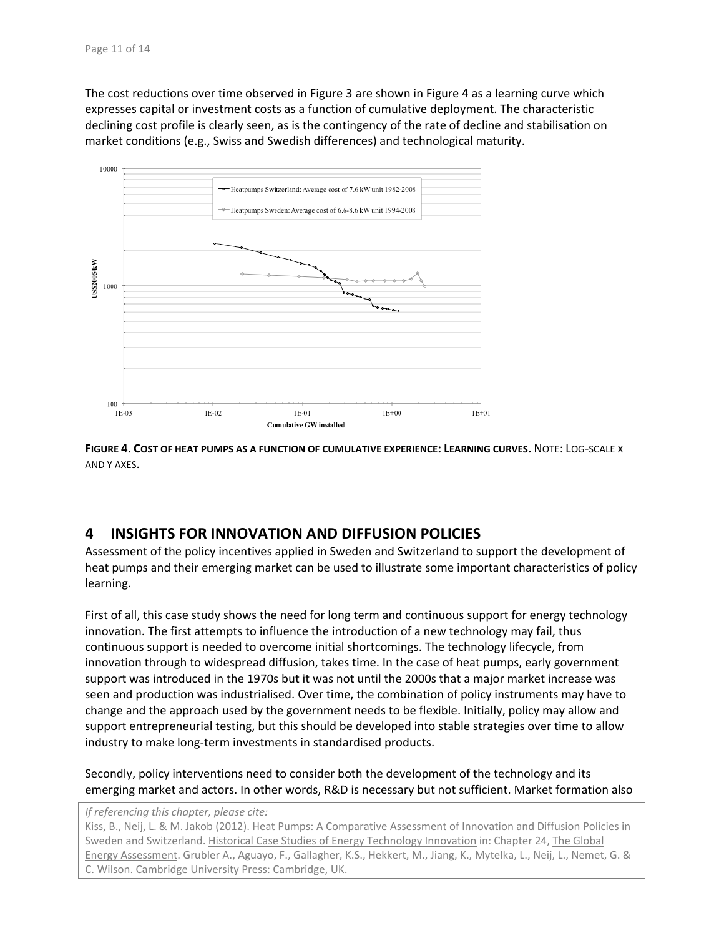The cost reductions over time observed in Figure 3 are shown in Figure 4 as a learning curve which expresses capital or investment costs as a function of cumulative deployment. The characteristic declining cost profile is clearly seen, as is the contingency of the rate of decline and stabilisation on market conditions (e.g., Swiss and Swedish differences) and technological maturity.



**FIGURE 4. COST OF HEAT PUMPS AS A FUNCTION OF CUMULATIVE EXPERIENCE: LEARNING CURVES.** NOTE: LOG‐SCALE X AND Y AXES.

## **4 INSIGHTS FOR INNOVATION AND DIFFUSION POLICIES**

Assessment of the policy incentives applied in Sweden and Switzerland to support the development of heat pumps and their emerging market can be used to illustrate some important characteristics of policy learning.

First of all, this case study shows the need for long term and continuous support for energy technology innovation. The first attempts to influence the introduction of a new technology may fail, thus continuous support is needed to overcome initial shortcomings. The technology lifecycle, from innovation through to widespread diffusion, takes time. In the case of heat pumps, early government support was introduced in the 1970s but it was not until the 2000s that a major market increase was seen and production was industrialised. Over time, the combination of policy instruments may have to change and the approach used by the government needs to be flexible. Initially, policy may allow and support entrepreneurial testing, but this should be developed into stable strategies over time to allow industry to make long‐term investments in standardised products.

Secondly, policy interventions need to consider both the development of the technology and its emerging market and actors. In other words, R&D is necessary but not sufficient. Market formation also

*If referencing this chapter, please cite:*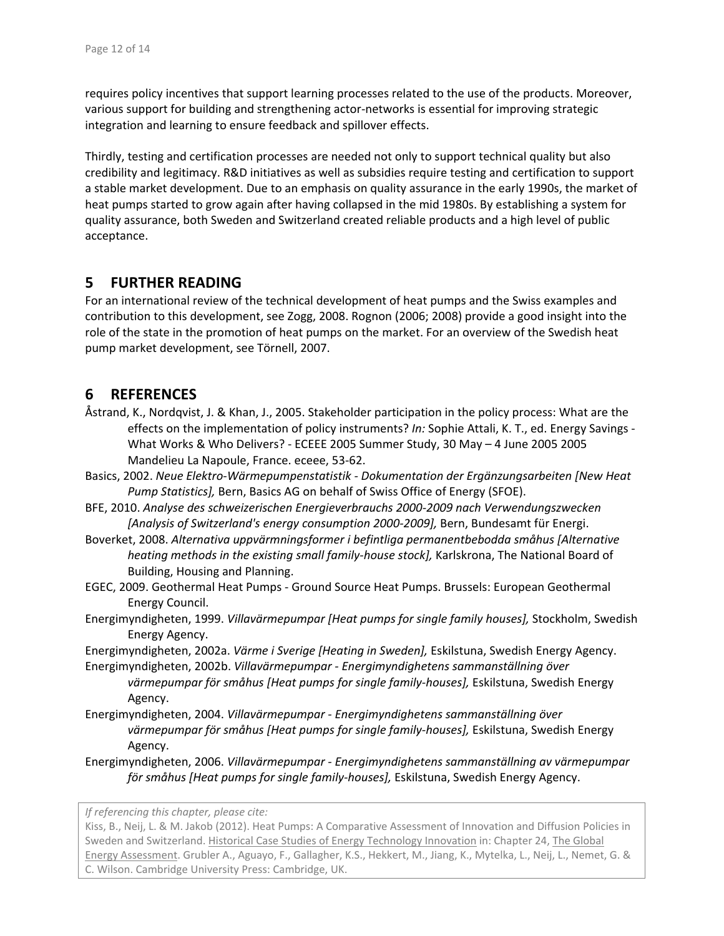requires policy incentives that support learning processes related to the use of the products. Moreover, various support for building and strengthening actor‐networks is essential for improving strategic integration and learning to ensure feedback and spillover effects.

Thirdly, testing and certification processes are needed not only to support technical quality but also credibility and legitimacy. R&D initiatives as well as subsidies require testing and certification to support a stable market development. Due to an emphasis on quality assurance in the early 1990s, the market of heat pumps started to grow again after having collapsed in the mid 1980s. By establishing a system for quality assurance, both Sweden and Switzerland created reliable products and a high level of public acceptance.

## **5 FURTHER READING**

For an international review of the technical development of heat pumps and the Swiss examples and contribution to this development, see Zogg, 2008. Rognon (2006; 2008) provide a good insight into the role of the state in the promotion of heat pumps on the market. For an overview of the Swedish heat pump market development, see Törnell, 2007.

# **6 REFERENCES**

- Åstrand, K., Nordqvist, J. & Khan, J., 2005. Stakeholder participation in the policy process: What are the effects on the implementation of policy instruments? *In:* Sophie Attali, K. T., ed. Energy Savings ‐ What Works & Who Delivers? ‐ ECEEE 2005 Summer Study, 30 May – 4 June 2005 2005 Mandelieu La Napoule, France. eceee, 53‐62.
- Basics, 2002. *Neue Elektro‐Wärmepumpenstatistik ‐ Dokumentation der Ergänzungsarbeiten [New Heat Pump Statistics],* Bern, Basics AG on behalf of Swiss Office of Energy (SFOE).
- BFE, 2010. *Analyse des schweizerischen Energieverbrauchs 2000‐2009 nach Verwendungszwecken [Analysis of Switzerland's energy consumption 2000‐2009],* Bern, Bundesamt für Energi.
- Boverket, 2008. *Alternativa uppvärmningsformer i befintliga permanentbebodda småhus [Alternative heating methods in the existing small family‐house stock],* Karlskrona, The National Board of Building, Housing and Planning.
- EGEC, 2009. Geothermal Heat Pumps ‐ Ground Source Heat Pumps. Brussels: European Geothermal Energy Council.
- Energimyndigheten, 1999. *Villavärmepumpar [Heat pumps for single family houses],* Stockholm, Swedish Energy Agency.
- Energimyndigheten, 2002a. *Värme i Sverige [Heating in Sweden],* Eskilstuna, Swedish Energy Agency.
- Energimyndigheten, 2002b. *Villavärmepumpar ‐ Energimyndighetens sammanställning över värmepumpar för småhus [Heat pumps for single family‐houses],* Eskilstuna, Swedish Energy Agency.
- Energimyndigheten, 2004. *Villavärmepumpar ‐ Energimyndighetens sammanställning över värmepumpar för småhus [Heat pumps for single family‐houses],* Eskilstuna, Swedish Energy Agency.
- Energimyndigheten, 2006. *Villavärmepumpar ‐ Energimyndighetens sammanställning av värmepumpar för småhus [Heat pumps for single family‐houses],* Eskilstuna, Swedish Energy Agency.

*If referencing this chapter, please cite:*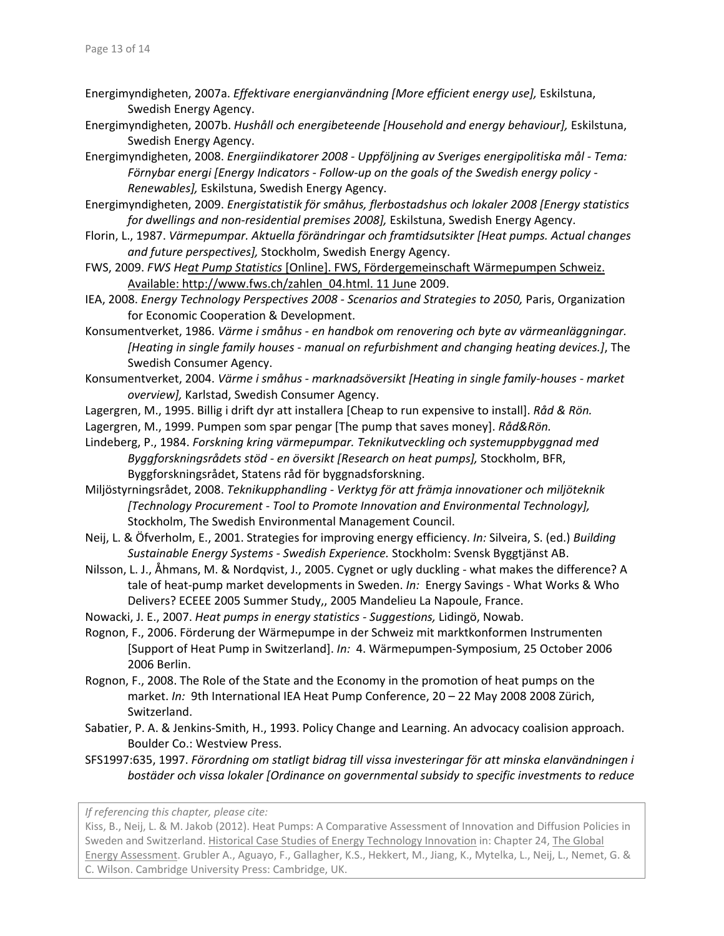- Energimyndigheten, 2007a. *Effektivare energianvändning [More efficient energy use],* Eskilstuna, Swedish Energy Agency.
- Energimyndigheten, 2007b. *Hushåll och energibeteende [Household and energy behaviour],* Eskilstuna, Swedish Energy Agency.
- Energimyndigheten, 2008. *Energiindikatorer 2008 ‐ Uppföljning av Sveriges energipolitiska mål ‐ Tema: Förnybar energi [Energy Indicators ‐ Follow‐up on the goals of the Swedish energy policy ‐ Renewables],* Eskilstuna, Swedish Energy Agency.
- Energimyndigheten, 2009. *Energistatistik för småhus, flerbostadshus och lokaler 2008 [Energy statistics for dwellings and non‐residential premises 2008],* Eskilstuna, Swedish Energy Agency.
- Florin, L., 1987. *Värmepumpar. Aktuella förändringar och framtidsutsikter [Heat pumps. Actual changes and future perspectives],* Stockholm, Swedish Energy Agency.
- FWS, 2009. *FWS Heat Pump Statistics* [Online]. FWS, Fördergemeinschaft Wärmepumpen Schweiz. Available: http://www.fws.ch/zahlen\_04.html. 11 June 2009.
- IEA, 2008. *Energy Technology Perspectives 2008 ‐ Scenarios and Strategies to 2050,* Paris, Organization for Economic Cooperation & Development.
- Konsumentverket, 1986. *Värme i småhus ‐ en handbok om renovering och byte av värmeanläggningar. [Heating in single family houses ‐ manual on refurbishment and changing heating devices.]*, The Swedish Consumer Agency.
- Konsumentverket, 2004. *Värme i småhus ‐ marknadsöversikt [Heating in single family‐houses ‐ market overview],* Karlstad, Swedish Consumer Agency.
- Lagergren, M., 1995. Billig i drift dyr att installera [Cheap to run expensive to install]. *Råd & Rön.*
- Lagergren, M., 1999. Pumpen som spar pengar [The pump that saves money]. *Råd&Rön.*
- Lindeberg, P., 1984. *Forskning kring värmepumpar. Teknikutveckling och systemuppbyggnad med Byggforskningsrådets stöd ‐ en översikt [Research on heat pumps],* Stockholm, BFR, Byggforskningsrådet, Statens råd för byggnadsforskning.
- Miljöstyrningsrådet, 2008. *Teknikupphandling ‐ Verktyg för att främja innovationer och miljöteknik [Technology Procurement ‐ Tool to Promote Innovation and Environmental Technology],* Stockholm, The Swedish Environmental Management Council.
- Neij, L. & Öfverholm, E., 2001. Strategies for improving energy efficiency. *In:* Silveira, S. (ed.) *Building Sustainable Energy Systems ‐ Swedish Experience.* Stockholm: Svensk Byggtjänst AB.
- Nilsson, L. J., Åhmans, M. & Nordqvist, J., 2005. Cygnet or ugly duckling ‐ what makes the difference? A tale of heat-pump market developments in Sweden. *In:* Energy Savings - What Works & Who Delivers? ECEEE 2005 Summer Study,, 2005 Mandelieu La Napoule, France.
- Nowacki, J. E., 2007. *Heat pumps in energy statistics ‐ Suggestions,* Lidingö, Nowab.
- Rognon, F., 2006. Förderung der Wärmepumpe in der Schweiz mit marktkonformen Instrumenten [Support of Heat Pump in Switzerland]. *In:* 4. Wärmepumpen‐Symposium, 25 October 2006 2006 Berlin.
- Rognon, F., 2008. The Role of the State and the Economy in the promotion of heat pumps on the market. *In:* 9th International IEA Heat Pump Conference, 20 – 22 May 2008 2008 Zürich, Switzerland.
- Sabatier, P. A. & Jenkins‐Smith, H., 1993. Policy Change and Learning. An advocacy coalision approach. Boulder Co.: Westview Press.
- SFS1997:635, 1997. *Förordning om statligt bidrag till vissa investeringar för att minska elanvändningen i bostäder och vissa lokaler [Ordinance on governmental subsidy to specific investments to reduce*

*If referencing this chapter, please cite:*